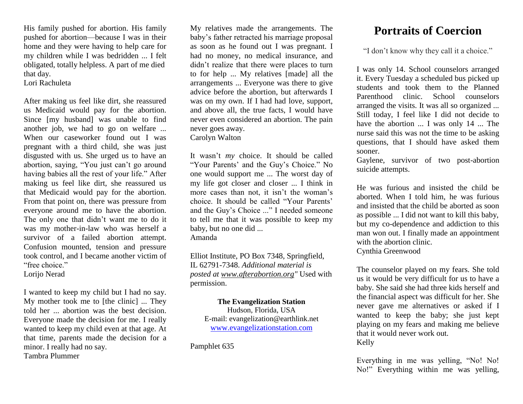His family pushed for abortion. His family pushed for abortion—because I was in their home and they were having to help care for my children while I was bedridden ... I felt obligated, totally helpless. A part of me died that day.

Lori Rachuleta

After making us feel like dirt, she reassured us Medicaid would pay for the abortion. Since [my husband] was unable to find another job, we had to go on welfare ... When our caseworker found out I was pregnant with a third child, she was just disgusted with us. She urged us to have an abortion, saying, "You just can't go around having babies all the rest of your life." After making us feel like dirt, she reassured us that Medicaid would pay for the abortion. From that point on, there was pressure from everyone around me to have the abortion. The only one that didn't want me to do it was my mother-in-law who was herself a survivor of a failed abortion attempt. Confusion mounted, tension and pressure took control, and I became another victim of "free choice"

Lorijo Nerad

I wanted to keep my child but I had no say. My mother took me to [the clinic] ... They told her ... abortion was the best decision. Everyone made the decision for me. I really wanted to keep my child even at that age. At that time, parents made the decision for a minor. I really had no say. Tambra Plummer

My relatives made the arrangements. The baby's father retracted his marriage proposal as soon as he found out I was pregnant. I had no money, no medical insurance, and didn't realize that there were places to turn to for help ... My relatives [made] all the arrangements ... Everyone was there to give advice before the abortion, but afterwards I was on my own. If I had had love, support, and above all, the true facts, I would have never even considered an abortion. The pain never goes away. Carolyn Walton

It wasn't *my* choice. It should be called "Your Parents' and the Guy's Choice." No one would support me ... The worst day of my life got closer and closer ... I think in more cases than not, it isn't the woman's choice. It should be called "Your Parents' and the Guy's Choice ..." I needed someone to tell me that it was possible to keep my baby, but no one did ... Amanda

Elliot Institute, PO Box 7348, Springfield, IL 62791-7348. *Additional material is posted at [www.afterabortion.org"](http://www.afterabortion.org/)* Used with permission.

**The Evangelization Station** Hudson, Florida, USA E-mail: evangelization@earthlink.net [www.evangelizationstation.com](http://www.pjpiisoe.org/)

Pamphlet 635

## **Portraits of Coercion**

"I don't know why they call it a choice."

I was only 14. School counselors arranged it. Every Tuesday a scheduled bus picked up students and took them to the Planned Parenthood clinic. School counselors arranged the visits. It was all so organized ... Still today, I feel like I did not decide to have the abortion  $\dots$  I was only 14  $\dots$  The nurse said this was not the time to be asking questions, that I should have asked them sooner.

Gaylene, survivor of two post-abortion suicide attempts.

He was furious and insisted the child be aborted. When I told him, he was furious and insisted that the child be aborted as soon as possible ... I did not want to kill this baby, but my co-dependence and addiction to this man won out. I finally made an appointment with the abortion clinic. Cynthia Greenwood

The counselor played on my fears. She told us it would be very difficult for us to have a baby. She said she had three kids herself and the financial aspect was difficult for her. She never gave me alternatives or asked if I wanted to keep the baby; she just kept playing on my fears and making me believe that it would never work out. Kelly

Everything in me was yelling, "No! No! No!" Everything within me was yelling,